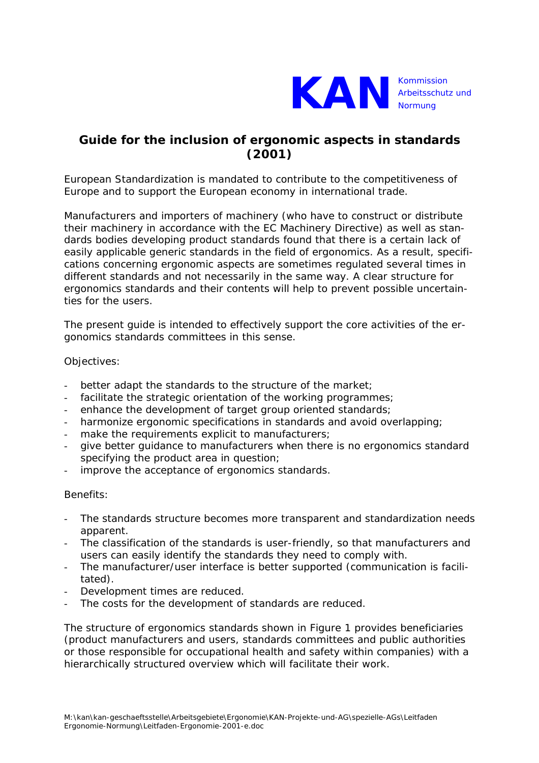

## **Guide for the inclusion of ergonomic aspects in standards (2001)**

European Standardization is mandated to contribute to the competitiveness of Europe and to support the European economy in international trade.

Manufacturers and importers of machinery (who have to construct or distribute their machinery in accordance with the EC Machinery Directive) as well as standards bodies developing product standards found that there is a certain lack of easily applicable generic standards in the field of ergonomics. As a result, specifications concerning ergonomic aspects are sometimes regulated several times in different standards and not necessarily in the same way. A clear structure for ergonomics standards and their contents will help to prevent possible uncertainties for the users.

The present guide is intended to effectively support the core activities of the ergonomics standards committees in this sense.

## Objectives:

- better adapt the standards to the structure of the market;
- facilitate the strategic orientation of the working programmes;
- enhance the development of target group oriented standards;
- harmonize ergonomic specifications in standards and avoid overlapping;
- make the requirements explicit to manufacturers;
- give better guidance to manufacturers when there is no ergonomics standard specifying the product area in question;
- improve the acceptance of ergonomics standards.

## Benefits:

- The standards structure becomes more transparent and standardization needs apparent.
- The classification of the standards is user-friendly, so that manufacturers and users can easily identify the standards they need to comply with.
- The manufacturer/user interface is better supported (communication is facilitated).
- Development times are reduced.
- The costs for the development of standards are reduced.

The structure of ergonomics standards shown in Figure 1 provides beneficiaries (product manufacturers and users, standards committees and public authorities or those responsible for occupational health and safety within companies) with a hierarchically structured overview which will facilitate their work.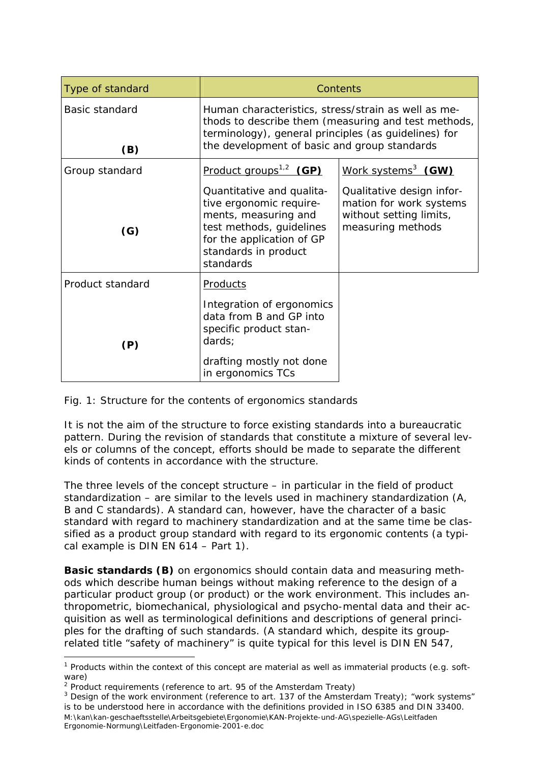| Type of standard      | Contents                                                                                                                                                                                                           |                                                                                                      |
|-----------------------|--------------------------------------------------------------------------------------------------------------------------------------------------------------------------------------------------------------------|------------------------------------------------------------------------------------------------------|
| Basic standard<br>(B) | Human characteristics, stress/strain as well as me-<br>thods to describe them (measuring and test methods,<br>terminology), general principles (as guidelines) for<br>the development of basic and group standards |                                                                                                      |
| Group standard        | Product groups <sup>1,2</sup> (GP)                                                                                                                                                                                 | Work systems <sup>3</sup> (GW)                                                                       |
| (G)                   | Quantitative and qualita-<br>tive ergonomic require-<br>ments, measuring and<br>test methods, guidelines<br>for the application of GP<br>standards in product<br>standards                                         | Qualitative design infor-<br>mation for work systems<br>without setting limits,<br>measuring methods |
| Product standard      | Products                                                                                                                                                                                                           |                                                                                                      |
| (P)                   | Integration of ergonomics<br>data from B and GP into<br>specific product stan-<br>dards;<br>drafting mostly not done<br>in ergonomics TCs                                                                          |                                                                                                      |

Fig. 1: Structure for the contents of ergonomics standards

It is not the aim of the structure to force existing standards into a bureaucratic pattern. During the revision of standards that constitute a mixture of several levels or columns of the concept, efforts should be made to separate the different kinds of contents in accordance with the structure.

The three levels of the concept structure – in particular in the field of product standardization – are similar to the levels used in machinery standardization (A, B and C standards). A standard can, however, have the character of a basic standard with regard to machinery standardization and at the same time be classified as a product group standard with regard to its ergonomic contents (a typical example is DIN EN 614 – Part 1).

**Basic standards (B)** on ergonomics should contain data and measuring methods which describe human beings without making reference to the design of a particular product group (or product) or the work environment. This includes anthropometric, biomechanical, physiological and psycho-mental data and their acquisition as well as terminological definitions and descriptions of general principles for the drafting of such standards. (A standard which, despite its grouprelated title "safety of machinery" is quite typical for this level is DIN EN 547,

<sup>-</sup>*1 Products within the context of this concept are material as well as immaterial products (e.g. software)* 

*<sup>2</sup> Product requirements (reference to art. 95 of the Amsterdam Treaty)* 

*<sup>3</sup> Design of the work environment (reference to art. 137 of the Amsterdam Treaty); "work systems" is to be understood here in accordance with the definitions provided in ISO 6385 and DIN 33400.* 

M:\kan\kan-geschaeftsstelle\Arbeitsgebiete\Ergonomie\KAN-Projekte-und-AG\spezielle-AGs\Leitfaden Ergonomie-Normung\Leitfaden-Ergonomie-2001-e.doc